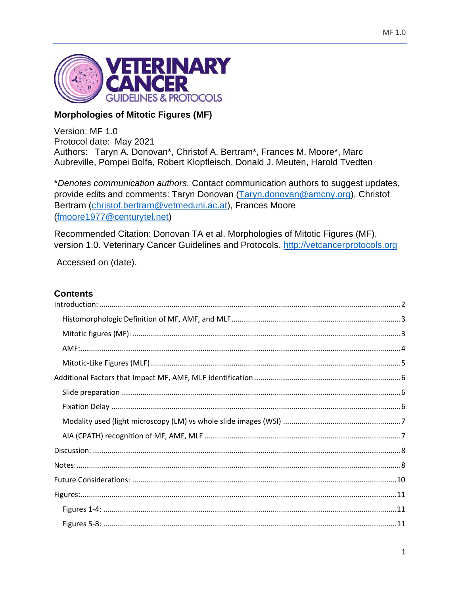

# **Morphologies of Mitotic Figures (MF)**

Version: MF 1.0 Protocol date: May 2021 Authors: Taryn A. Donovan\*, Christof A. Bertram\*, Frances M. Moore\*, Marc Aubreville, Pompei Bolfa, Robert Klopfleisch, Donald J. Meuten, Harold Tvedten

\*Denotes communication authors. Contact communication authors to suggest updates, provide edits and comments: Taryn Donovan (Taryn.donovan@amcny.org), Christof Bertram (christof.bertram@vetmeduni.ac.at), Frances Moore (fmoore1977@centurytel.net)

Recommended Citation: Donovan TA et al. Morphologies of Mitotic Figures (MF), version 1.0. Veterinary Cancer Guidelines and Protocols. http://vetcancerprotocols.org

Accessed on (date).

## **Contents**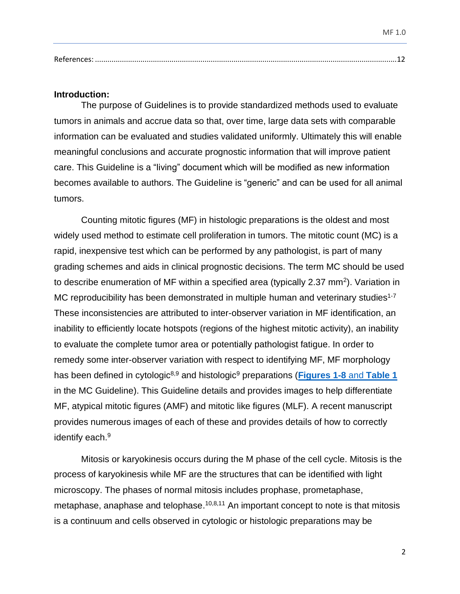#### <span id="page-1-0"></span>**Introduction:**

The purpose of Guidelines is to provide standardized methods used to evaluate tumors in animals and accrue data so that, over time, large data sets with comparable information can be evaluated and studies validated uniformly. Ultimately this will enable meaningful conclusions and accurate prognostic information that will improve patient care. This Guideline is a "living" document which will be modified as new information becomes available to authors. The Guideline is "generic" and can be used for all animal tumors.

Counting mitotic figures (MF) in histologic preparations is the oldest and most widely used method to estimate cell proliferation in tumors. The mitotic count (MC) is a rapid, inexpensive test which can be performed by any pathologist, is part of many grading schemes and aids in clinical prognostic decisions. The term MC should be used to describe enumeration of MF within a specified area (typically 2.37 mm<sup>2</sup>). Variation in MC reproducibility has been demonstrated in multiple human and veterinary studies<sup>1-7</sup> These inconsistencies are attributed to inter-observer variation in MF identification, an inability to efficiently locate hotspots (regions of the highest mitotic activity), an inability to evaluate the complete tumor area or potentially pathologist fatigue. In order to remedy some inter-observer variation with respect to identifying MF, MF morphology has been defined in cytologic<sup>8,9</sup> and histologic<sup>9</sup> preparations (**Figures 1-8** and **Table 1** in the MC Guideline). This Guideline details and provides images to help differentiate MF, atypical mitotic figures (AMF) and mitotic like figures (MLF). A recent manuscript provides numerous images of each of these and provides details of how to correctly identify each.<sup>9</sup>

Mitosis or karyokinesis occurs during the M phase of the cell cycle. Mitosis is the process of karyokinesis while MF are the structures that can be identified with light microscopy. The phases of normal mitosis includes prophase, prometaphase, metaphase, anaphase and telophase.<sup>10,8,11</sup> An important concept to note is that mitosis is a continuum and cells observed in cytologic or histologic preparations may be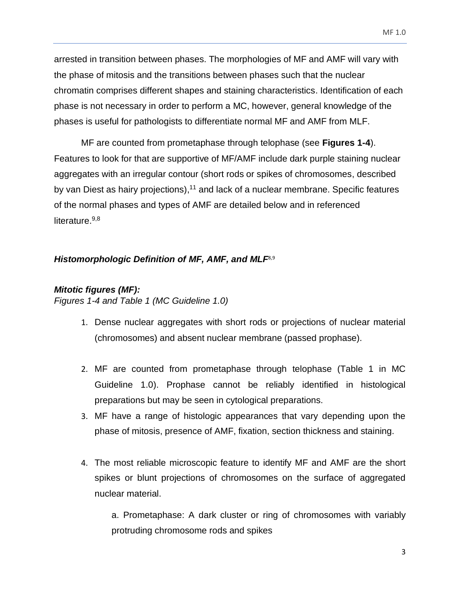arrested in transition between phases. The morphologies of MF and AMF will vary with the phase of mitosis and the transitions between phases such that the nuclear chromatin comprises different shapes and staining characteristics. Identification of each phase is not necessary in order to perform a MC, however, general knowledge of the phases is useful for pathologists to differentiate normal MF and AMF from MLF.

MF are counted from prometaphase through telophase (see **Figures 1-4**). Features to look for that are supportive of MF/AMF include dark purple staining nuclear aggregates with an irregular contour (short rods or spikes of chromosomes, described by van Diest as hairy projections),<sup>11</sup> and lack of a nuclear membrane. Specific features of the normal phases and types of AMF are detailed below and in referenced literature.<sup>9,8</sup>

### <span id="page-2-0"></span>*Histomorphologic Definition of MF, AMF, and MLF*8,9

## <span id="page-2-1"></span>*Mitotic figures (MF):*

*Figures 1-4 and Table 1 (MC Guideline 1.0)*

- 1. Dense nuclear aggregates with short rods or projections of nuclear material (chromosomes) and absent nuclear membrane (passed prophase).
- 2. MF are counted from prometaphase through telophase (Table 1 in MC Guideline 1.0). Prophase cannot be reliably identified in histological preparations but may be seen in cytological preparations.
- 3. MF have a range of histologic appearances that vary depending upon the phase of mitosis, presence of AMF, fixation, section thickness and staining.
- 4. The most reliable microscopic feature to identify MF and AMF are the short spikes or blunt projections of chromosomes on the surface of aggregated nuclear material.

a. Prometaphase: A dark cluster or ring of chromosomes with variably protruding chromosome rods and spikes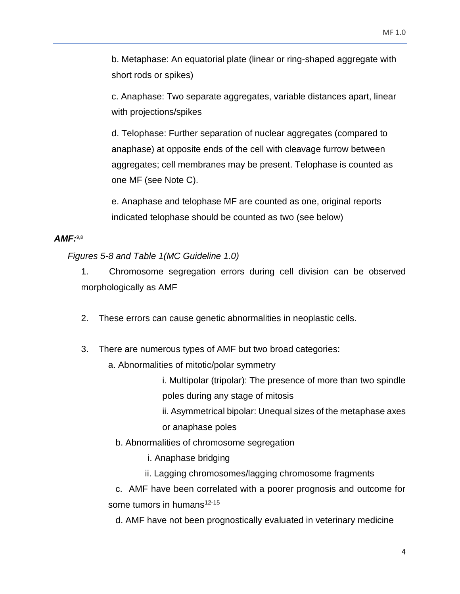b. Metaphase: An equatorial plate (linear or ring-shaped aggregate with short rods or spikes)

c. Anaphase: Two separate aggregates, variable distances apart, linear with projections/spikes

d. Telophase: Further separation of nuclear aggregates (compared to anaphase) at opposite ends of the cell with cleavage furrow between aggregates; cell membranes may be present. Telophase is counted as one MF (see Note C).

e. Anaphase and telophase MF are counted as one, original reports indicated telophase should be counted as two (see below)

### <span id="page-3-0"></span>*AMF:* 9,8

*Figures 5-8 and Table 1(MC Guideline 1.0)* 

1. Chromosome segregation errors during cell division can be observed morphologically as AMF

- 2. These errors can cause genetic abnormalities in neoplastic cells.
- 3. There are numerous types of AMF but two broad categories:
	- a. Abnormalities of mitotic/polar symmetry
		- i. Multipolar (tripolar): The presence of more than two spindle poles during any stage of mitosis
		- ii. Asymmetrical bipolar: Unequal sizes of the metaphase axes or anaphase poles
		- b. Abnormalities of chromosome segregation

i. Anaphase bridging

ii. Lagging chromosomes/lagging chromosome fragments

 c. AMF have been correlated with a poorer prognosis and outcome for some tumors in humans<sup>12-15</sup>

d. AMF have not been prognostically evaluated in veterinary medicine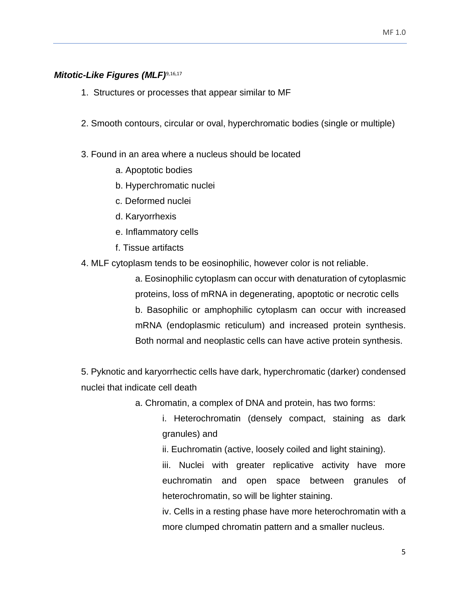### <span id="page-4-0"></span>*Mitotic-Like Figures (MLF)*9,16,17

- 1. Structures or processes that appear similar to MF
- 2. Smooth contours, circular or oval, hyperchromatic bodies (single or multiple)
- 3. Found in an area where a nucleus should be located
	- a. Apoptotic bodies
	- b. Hyperchromatic nuclei
	- c. Deformed nuclei
	- d. Karyorrhexis
	- e. Inflammatory cells
	- f. Tissue artifacts
- 4. MLF cytoplasm tends to be eosinophilic, however color is not reliable.

a. Eosinophilic cytoplasm can occur with denaturation of cytoplasmic proteins, loss of mRNA in degenerating, apoptotic or necrotic cells b. Basophilic or amphophilic cytoplasm can occur with increased mRNA (endoplasmic reticulum) and increased protein synthesis. Both normal and neoplastic cells can have active protein synthesis.

5. Pyknotic and karyorrhectic cells have dark, hyperchromatic (darker) condensed nuclei that indicate cell death

- a. Chromatin, a complex of DNA and protein, has two forms:
	- i. Heterochromatin (densely compact, staining as dark granules) and
	- ii. Euchromatin (active, loosely coiled and light staining).

iii. Nuclei with greater replicative activity have more euchromatin and open space between granules of heterochromatin, so will be lighter staining.

iv. Cells in a resting phase have more heterochromatin with a more clumped chromatin pattern and a smaller nucleus.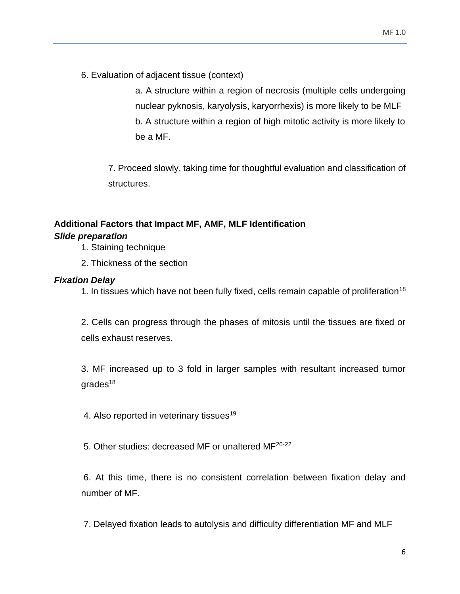6. Evaluation of adjacent tissue (context)

a. A structure within a region of necrosis (multiple cells undergoing nuclear pyknosis, karyolysis, karyorrhexis) is more likely to be MLF b. A structure within a region of high mitotic activity is more likely to be a MF.

7. Proceed slowly, taking time for thoughtful evaluation and classification of structures.

# <span id="page-5-0"></span>**Additional Factors that Impact MF, AMF, MLF Identification**

# <span id="page-5-1"></span>*Slide preparation*

- 1. Staining technique
- 2. Thickness of the section

# <span id="page-5-2"></span>*Fixation Delay*

1. In tissues which have not been fully fixed, cells remain capable of proliferation<sup>18</sup>

2. Cells can progress through the phases of mitosis until the tissues are fixed or cells exhaust reserves.

3. MF increased up to 3 fold in larger samples with resultant increased tumor  $q$ rades<sup>18</sup>

4. Also reported in veterinary tissues<sup>19</sup>

5. Other studies: decreased MF or unaltered MF20-22

6. At this time, there is no consistent correlation between fixation delay and number of MF.

7. Delayed fixation leads to autolysis and difficulty differentiation MF and MLF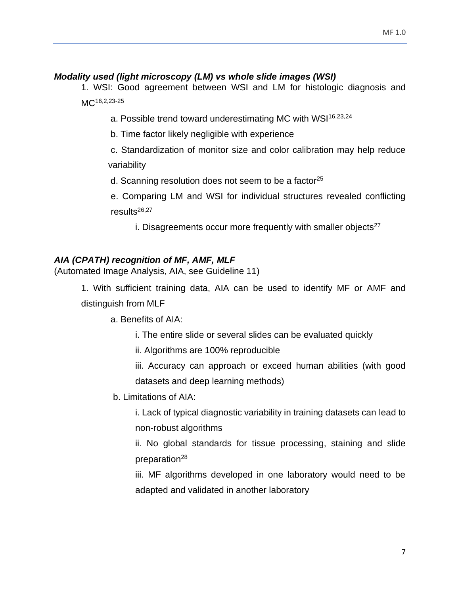## <span id="page-6-0"></span>*Modality used (light microscopy (LM) vs whole slide images (WSI)*

1. WSI: Good agreement between WSI and LM for histologic diagnosis and MC<sup>16,2,23-25</sup>

a. Possible trend toward underestimating MC with WSI<sup>16,23,24</sup>

b. Time factor likely negligible with experience

c. Standardization of monitor size and color calibration may help reduce variability

d. Scanning resolution does not seem to be a factor $25$ 

e. Comparing LM and WSI for individual structures revealed conflicting results26,27

i. Disagreements occur more frequently with smaller objects $27$ 

# <span id="page-6-1"></span>*AIA (CPATH) recognition of MF, AMF, MLF*

(Automated Image Analysis, AIA, see Guideline 11)

1. With sufficient training data, AIA can be used to identify MF or AMF and distinguish from MLF

a. Benefits of AIA:

i. The entire slide or several slides can be evaluated quickly

ii. Algorithms are 100% reproducible

iii. Accuracy can approach or exceed human abilities (with good datasets and deep learning methods)

b. Limitations of AIA:

i. Lack of typical diagnostic variability in training datasets can lead to non-robust algorithms

ii. No global standards for tissue processing, staining and slide preparation $^{28}$ 

iii. MF algorithms developed in one laboratory would need to be adapted and validated in another laboratory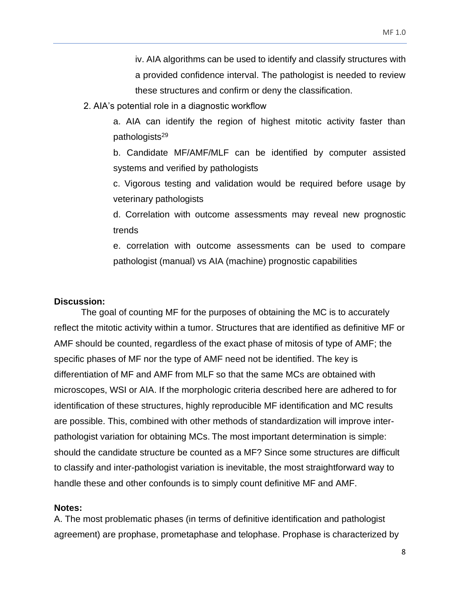iv. AIA algorithms can be used to identify and classify structures with a provided confidence interval. The pathologist is needed to review these structures and confirm or deny the classification.

2. AIA's potential role in a diagnostic workflow

a. AIA can identify the region of highest mitotic activity faster than pathologists<sup>29</sup>

b. Candidate MF/AMF/MLF can be identified by computer assisted systems and verified by pathologists

c. Vigorous testing and validation would be required before usage by veterinary pathologists

d. Correlation with outcome assessments may reveal new prognostic trends

e. correlation with outcome assessments can be used to compare pathologist (manual) vs AIA (machine) prognostic capabilities

#### <span id="page-7-0"></span>**Discussion:**

The goal of counting MF for the purposes of obtaining the MC is to accurately reflect the mitotic activity within a tumor. Structures that are identified as definitive MF or AMF should be counted, regardless of the exact phase of mitosis of type of AMF; the specific phases of MF nor the type of AMF need not be identified. The key is differentiation of MF and AMF from MLF so that the same MCs are obtained with microscopes, WSI or AIA. If the morphologic criteria described here are adhered to for identification of these structures, highly reproducible MF identification and MC results are possible. This, combined with other methods of standardization will improve interpathologist variation for obtaining MCs. The most important determination is simple: should the candidate structure be counted as a MF? Since some structures are difficult to classify and inter-pathologist variation is inevitable, the most straightforward way to handle these and other confounds is to simply count definitive MF and AMF.

#### <span id="page-7-1"></span>**Notes:**

A. The most problematic phases (in terms of definitive identification and pathologist agreement) are prophase, prometaphase and telophase. Prophase is characterized by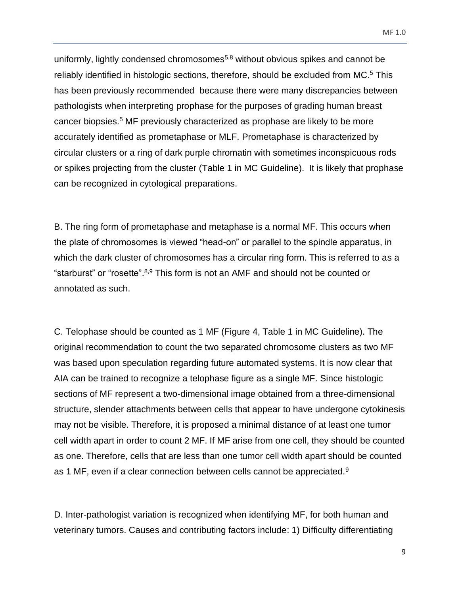uniformly, lightly condensed chromosomes $5,8$  without obvious spikes and cannot be reliably identified in histologic sections, therefore, should be excluded from MC.<sup>5</sup> This has been previously recommended because there were many discrepancies between pathologists when interpreting prophase for the purposes of grading human breast cancer biopsies.<sup>5</sup> MF previously characterized as prophase are likely to be more accurately identified as prometaphase or MLF. Prometaphase is characterized by circular clusters or a ring of dark purple chromatin with sometimes inconspicuous rods or spikes projecting from the cluster (Table 1 in MC Guideline). It is likely that prophase can be recognized in cytological preparations.

B. The ring form of prometaphase and metaphase is a normal MF. This occurs when the plate of chromosomes is viewed "head-on" or parallel to the spindle apparatus, in which the dark cluster of chromosomes has a circular ring form. This is referred to as a "starburst" or "rosette".8,9 This form is not an AMF and should not be counted or annotated as such.

C. Telophase should be counted as 1 MF (Figure 4, Table 1 in MC Guideline). The original recommendation to count the two separated chromosome clusters as two MF was based upon speculation regarding future automated systems. It is now clear that AIA can be trained to recognize a telophase figure as a single MF. Since histologic sections of MF represent a two-dimensional image obtained from a three-dimensional structure, slender attachments between cells that appear to have undergone cytokinesis may not be visible. Therefore, it is proposed a minimal distance of at least one tumor cell width apart in order to count 2 MF. If MF arise from one cell, they should be counted as one. Therefore, cells that are less than one tumor cell width apart should be counted as 1 MF, even if a clear connection between cells cannot be appreciated. $9$ 

D. Inter-pathologist variation is recognized when identifying MF, for both human and veterinary tumors. Causes and contributing factors include: 1) Difficulty differentiating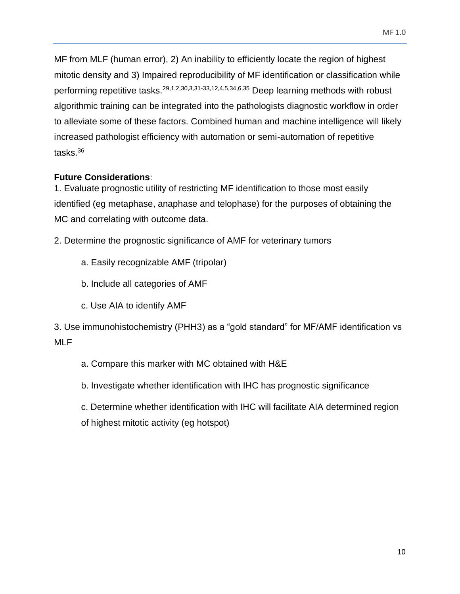MF from MLF (human error), 2) An inability to efficiently locate the region of highest mitotic density and 3) Impaired reproducibility of MF identification or classification while performing repetitive tasks.29,1,2,30,3,31-33,12,4,5,34,6,35 Deep learning methods with robust algorithmic training can be integrated into the pathologists diagnostic workflow in order to alleviate some of these factors. Combined human and machine intelligence will likely increased pathologist efficiency with automation or semi-automation of repetitive tasks.<sup>36</sup>

# <span id="page-9-0"></span>**Future Considerations:**

1. Evaluate prognostic utility of restricting MF identification to those most easily identified (eg metaphase, anaphase and telophase) for the purposes of obtaining the MC and correlating with outcome data.

2. Determine the prognostic significance of AMF for veterinary tumors

- a. Easily recognizable AMF (tripolar)
- b. Include all categories of AMF
- c. Use AIA to identify AMF

3. Use immunohistochemistry (PHH3) as a "gold standard" for MF/AMF identification vs MLF

- a. Compare this marker with MC obtained with H&E
- b. Investigate whether identification with IHC has prognostic significance

c. Determine whether identification with IHC will facilitate AIA determined region of highest mitotic activity (eg hotspot)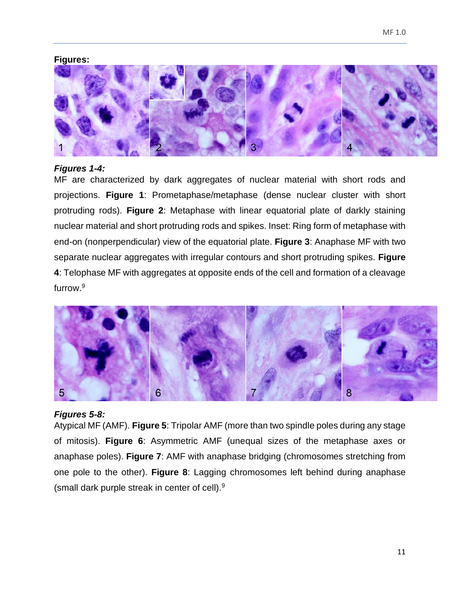### <span id="page-10-0"></span>**Figures:**



### <span id="page-10-1"></span>*Figures 1-4:*

MF are characterized by dark aggregates of nuclear material with short rods and projections. **Figure 1**: Prometaphase/metaphase (dense nuclear cluster with short protruding rods). **Figure 2**: Metaphase with linear equatorial plate of darkly staining nuclear material and short protruding rods and spikes. Inset: Ring form of metaphase with end-on (nonperpendicular) view of the equatorial plate. **Figure 3**: Anaphase MF with two separate nuclear aggregates with irregular contours and short protruding spikes. **Figure 4**: Telophase MF with aggregates at opposite ends of the cell and formation of a cleavage furrow.<sup>9</sup>



#### <span id="page-10-2"></span>*Figures 5-8:*

Atypical MF (AMF). **Figure 5**: Tripolar AMF (more than two spindle poles during any stage of mitosis). **Figure 6**: Asymmetric AMF (unequal sizes of the metaphase axes or anaphase poles). **Figure 7**: AMF with anaphase bridging (chromosomes stretching from one pole to the other). **Figure 8**: Lagging chromosomes left behind during anaphase (small dark purple streak in center of cell).9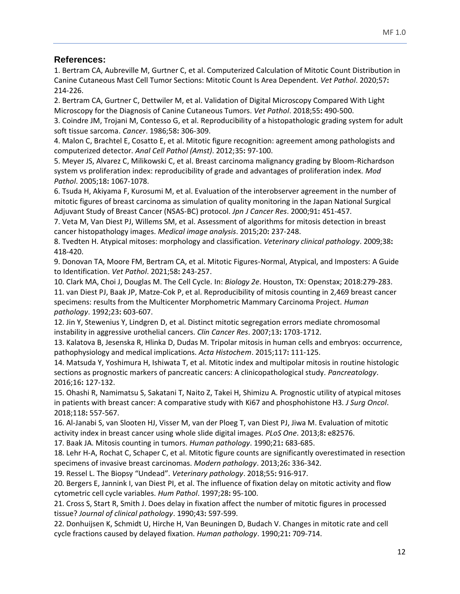# <span id="page-11-0"></span>**References:**

1. Bertram CA, Aubreville M, Gurtner C, et al. Computerized Calculation of Mitotic Count Distribution in Canine Cutaneous Mast Cell Tumor Sections: Mitotic Count Is Area Dependent. *Vet Pathol*. 2020;57**:**  214-226.

2. Bertram CA, Gurtner C, Dettwiler M, et al. Validation of Digital Microscopy Compared With Light Microscopy for the Diagnosis of Canine Cutaneous Tumors. *Vet Pathol*. 2018;55**:** 490-500.

3. Coindre JM, Trojani M, Contesso G, et al. Reproducibility of a histopathologic grading system for adult soft tissue sarcoma. *Cancer*. 1986;58**:** 306-309.

4. Malon C, Brachtel E, Cosatto E, et al. Mitotic figure recognition: agreement among pathologists and computerized detector. *Anal Cell Pathol (Amst)*. 2012;35**:** 97-100.

5. Meyer JS, Alvarez C, Milikowski C, et al. Breast carcinoma malignancy grading by Bloom-Richardson system vs proliferation index: reproducibility of grade and advantages of proliferation index. *Mod Pathol*. 2005;18**:** 1067-1078.

6. Tsuda H, Akiyama F, Kurosumi M, et al. Evaluation of the interobserver agreement in the number of mitotic figures of breast carcinoma as simulation of quality monitoring in the Japan National Surgical Adjuvant Study of Breast Cancer (NSAS-BC) protocol. *Jpn J Cancer Res*. 2000;91**:** 451-457.

7. Veta M, Van Diest PJ, Willems SM, et al. Assessment of algorithms for mitosis detection in breast cancer histopathology images. *Medical image analysis*. 2015;20**:** 237-248.

8. Tvedten H. Atypical mitoses: morphology and classification. *Veterinary clinical pathology*. 2009;38**:**  418-420.

9. Donovan TA, Moore FM, Bertram CA, et al. Mitotic Figures-Normal, Atypical, and Imposters: A Guide to Identification. *Vet Pathol*. 2021;58**:** 243-257.

10. Clark MA, Choi J, Douglas M. The Cell Cycle. In: *Biology 2e*. Houston, TX: Openstax; 2018:279-283.

11. van Diest PJ, Baak JP, Matze-Cok P, et al. Reproducibility of mitosis counting in 2,469 breast cancer specimens: results from the Multicenter Morphometric Mammary Carcinoma Project. *Human pathology*. 1992;23**:** 603-607.

12. Jin Y, Stewenius Y, Lindgren D, et al. Distinct mitotic segregation errors mediate chromosomal instability in aggressive urothelial cancers. *Clin Cancer Res*. 2007;13**:** 1703-1712.

13. Kalatova B, Jesenska R, Hlinka D, Dudas M. Tripolar mitosis in human cells and embryos: occurrence, pathophysiology and medical implications. *Acta Histochem*. 2015;117**:** 111-125.

14. Matsuda Y, Yoshimura H, Ishiwata T, et al. Mitotic index and multipolar mitosis in routine histologic sections as prognostic markers of pancreatic cancers: A clinicopathological study. *Pancreatology*. 2016;16**:** 127-132.

15. Ohashi R, Namimatsu S, Sakatani T, Naito Z, Takei H, Shimizu A. Prognostic utility of atypical mitoses in patients with breast cancer: A comparative study with Ki67 and phosphohistone H3. *J Surg Oncol*. 2018;118**:** 557-567.

16. Al-Janabi S, van Slooten HJ, Visser M, van der Ploeg T, van Diest PJ, Jiwa M. Evaluation of mitotic activity index in breast cancer using whole slide digital images. *PLoS One*. 2013;8**:** e82576.

17. Baak JA. Mitosis counting in tumors. *Human pathology*. 1990;21**:** 683-685.

18. Lehr H-A, Rochat C, Schaper C, et al. Mitotic figure counts are significantly overestimated in resection specimens of invasive breast carcinomas. *Modern pathology*. 2013;26**:** 336-342.

19. Ressel L. The Biopsy "Undead". *Veterinary pathology*. 2018;55**:** 916-917.

20. Bergers E, Jannink I, van Diest PI, et al. The influence of fixation delay on mitotic activity and flow cytometric cell cycle variables. *Hum Pathol*. 1997;28**:** 95-100.

21. Cross S, Start R, Smith J. Does delay in fixation affect the number of mitotic figures in processed tissue? *Journal of clinical pathology*. 1990;43**:** 597-599.

22. Donhuijsen K, Schmidt U, Hirche H, Van Beuningen D, Budach V. Changes in mitotic rate and cell cycle fractions caused by delayed fixation. *Human pathology*. 1990;21**:** 709-714.